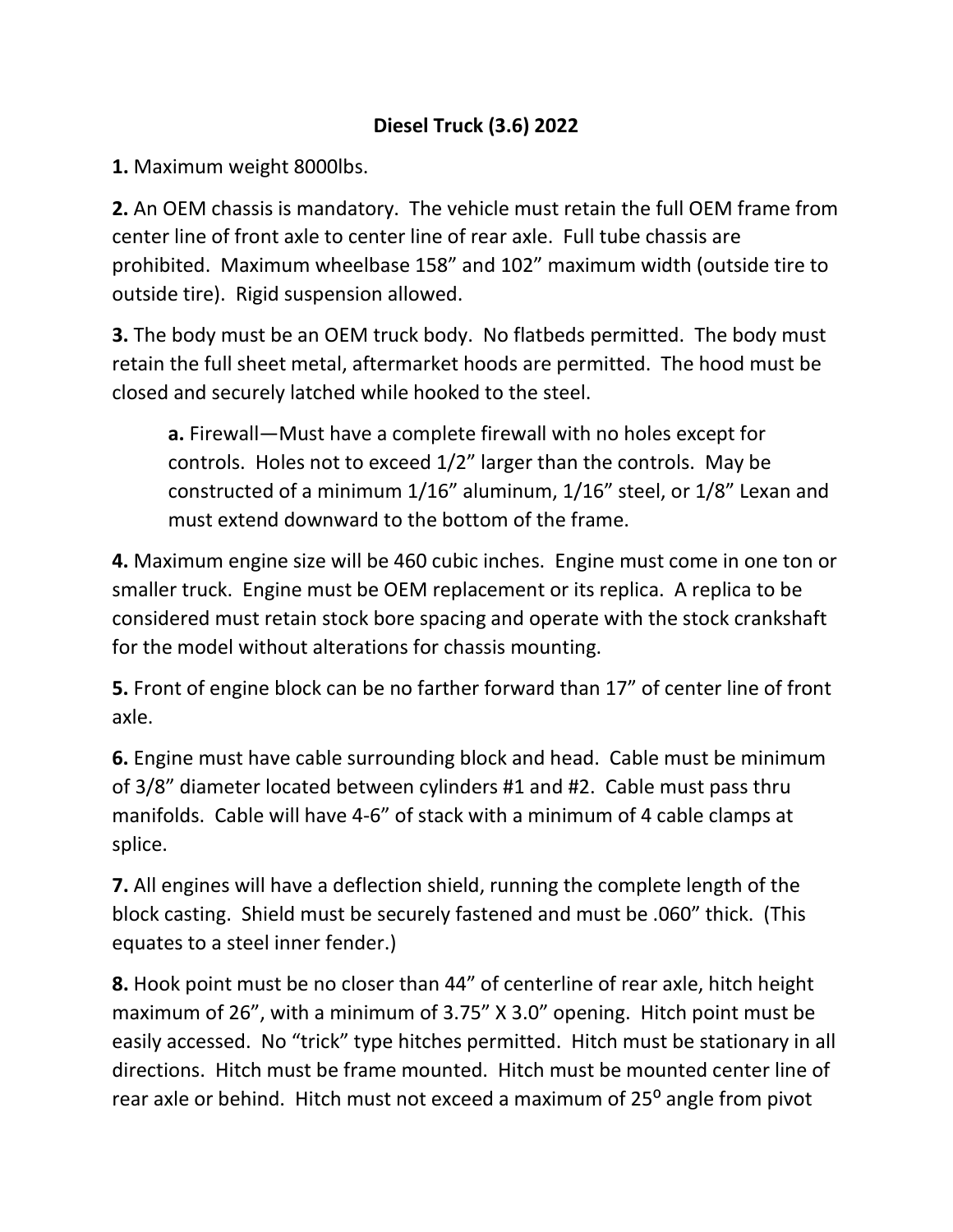## **Diesel Truck (3.6) 2022**

**1.** Maximum weight 8000lbs.

**2.** An OEM chassis is mandatory. The vehicle must retain the full OEM frame from center line of front axle to center line of rear axle. Full tube chassis are prohibited. Maximum wheelbase 158" and 102" maximum width (outside tire to outside tire). Rigid suspension allowed.

**3.** The body must be an OEM truck body. No flatbeds permitted. The body must retain the full sheet metal, aftermarket hoods are permitted. The hood must be closed and securely latched while hooked to the steel.

**a.** Firewall—Must have a complete firewall with no holes except for controls. Holes not to exceed 1/2" larger than the controls. May be constructed of a minimum 1/16" aluminum, 1/16" steel, or 1/8" Lexan and must extend downward to the bottom of the frame.

**4.** Maximum engine size will be 460 cubic inches. Engine must come in one ton or smaller truck. Engine must be OEM replacement or its replica. A replica to be considered must retain stock bore spacing and operate with the stock crankshaft for the model without alterations for chassis mounting.

**5.** Front of engine block can be no farther forward than 17" of center line of front axle.

**6.** Engine must have cable surrounding block and head. Cable must be minimum of 3/8" diameter located between cylinders #1 and #2. Cable must pass thru manifolds. Cable will have 4-6" of stack with a minimum of 4 cable clamps at splice.

**7.** All engines will have a deflection shield, running the complete length of the block casting. Shield must be securely fastened and must be .060" thick. (This equates to a steel inner fender.)

**8.** Hook point must be no closer than 44" of centerline of rear axle, hitch height maximum of 26", with a minimum of 3.75" X 3.0" opening. Hitch point must be easily accessed. No "trick" type hitches permitted. Hitch must be stationary in all directions. Hitch must be frame mounted. Hitch must be mounted center line of rear axle or behind. Hitch must not exceed a maximum of 25° angle from pivot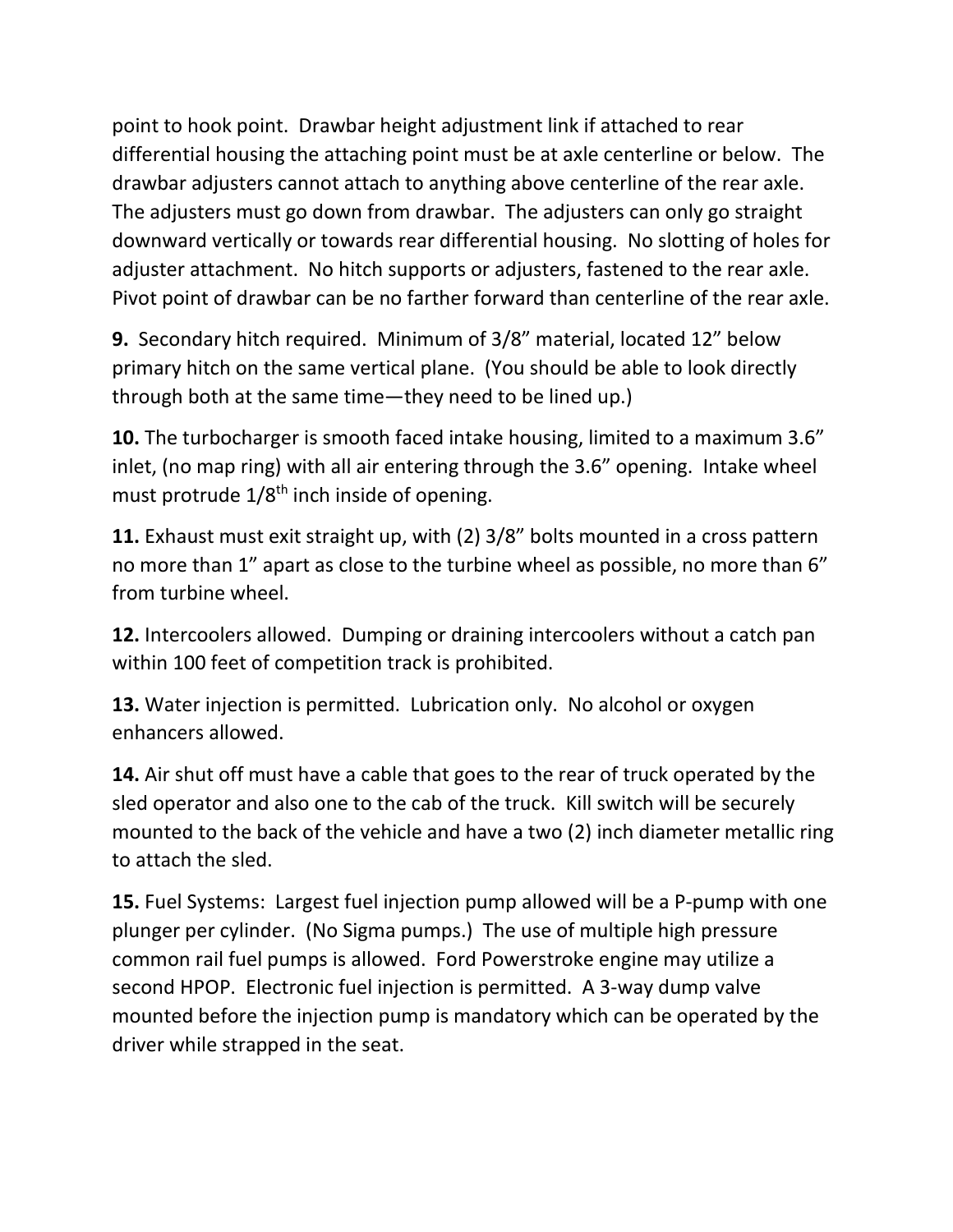point to hook point. Drawbar height adjustment link if attached to rear differential housing the attaching point must be at axle centerline or below. The drawbar adjusters cannot attach to anything above centerline of the rear axle. The adjusters must go down from drawbar. The adjusters can only go straight downward vertically or towards rear differential housing. No slotting of holes for adjuster attachment. No hitch supports or adjusters, fastened to the rear axle. Pivot point of drawbar can be no farther forward than centerline of the rear axle.

**9.** Secondary hitch required. Minimum of 3/8" material, located 12" below primary hitch on the same vertical plane. (You should be able to look directly through both at the same time—they need to be lined up.)

**10.** The turbocharger is smooth faced intake housing, limited to a maximum 3.6" inlet, (no map ring) with all air entering through the 3.6" opening. Intake wheel must protrude 1/8<sup>th</sup> inch inside of opening.

**11.** Exhaust must exit straight up, with (2) 3/8" bolts mounted in a cross pattern no more than 1" apart as close to the turbine wheel as possible, no more than 6" from turbine wheel.

**12.** Intercoolers allowed. Dumping or draining intercoolers without a catch pan within 100 feet of competition track is prohibited.

**13.** Water injection is permitted. Lubrication only. No alcohol or oxygen enhancers allowed.

**14.** Air shut off must have a cable that goes to the rear of truck operated by the sled operator and also one to the cab of the truck. Kill switch will be securely mounted to the back of the vehicle and have a two (2) inch diameter metallic ring to attach the sled.

**15.** Fuel Systems: Largest fuel injection pump allowed will be a P-pump with one plunger per cylinder. (No Sigma pumps.) The use of multiple high pressure common rail fuel pumps is allowed. Ford Powerstroke engine may utilize a second HPOP. Electronic fuel injection is permitted. A 3-way dump valve mounted before the injection pump is mandatory which can be operated by the driver while strapped in the seat.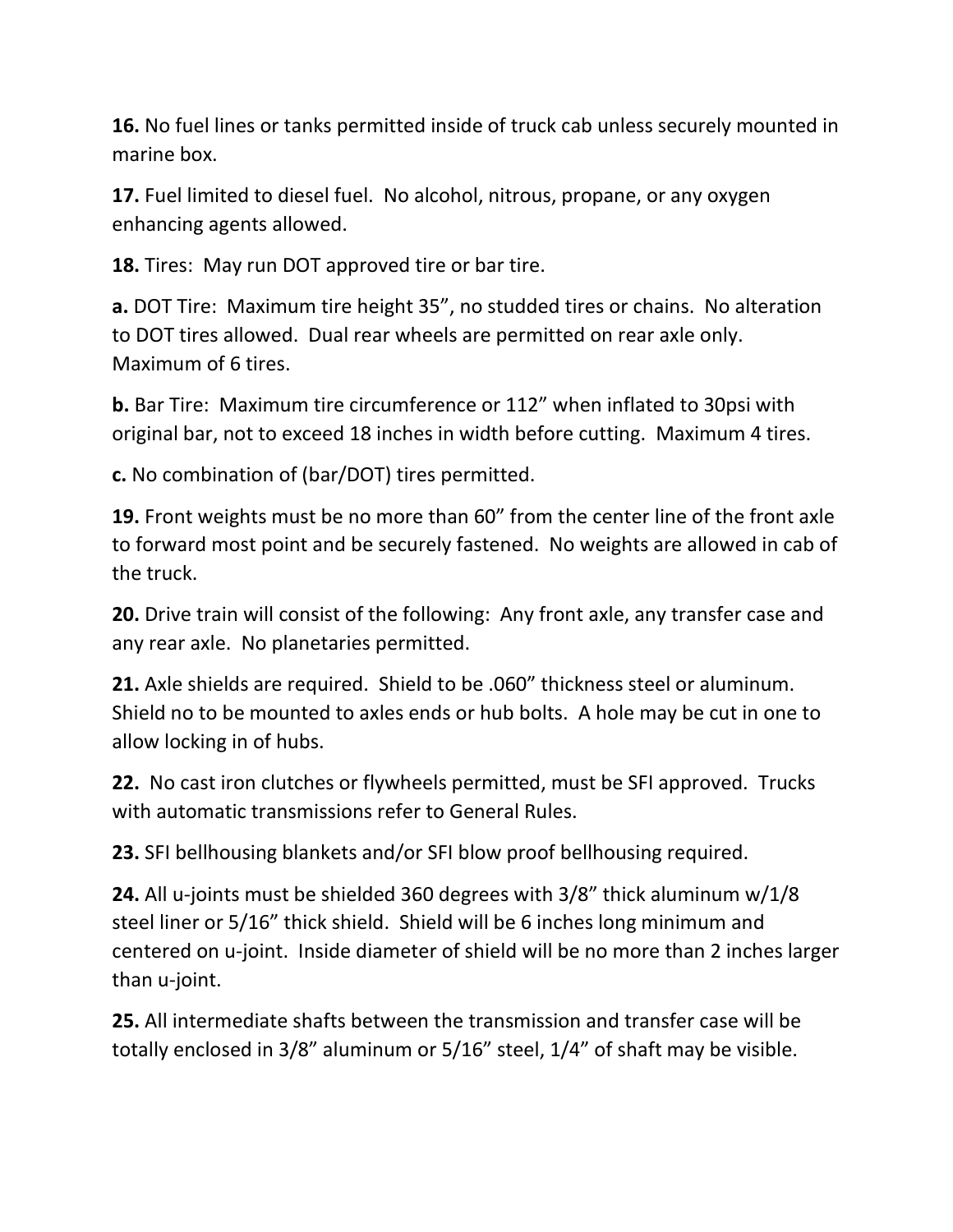**16.** No fuel lines or tanks permitted inside of truck cab unless securely mounted in marine box.

**17.** Fuel limited to diesel fuel. No alcohol, nitrous, propane, or any oxygen enhancing agents allowed.

**18.** Tires: May run DOT approved tire or bar tire.

**a.** DOT Tire: Maximum tire height 35", no studded tires or chains. No alteration to DOT tires allowed. Dual rear wheels are permitted on rear axle only. Maximum of 6 tires.

**b.** Bar Tire: Maximum tire circumference or 112" when inflated to 30psi with original bar, not to exceed 18 inches in width before cutting. Maximum 4 tires.

**c.** No combination of (bar/DOT) tires permitted.

**19.** Front weights must be no more than 60" from the center line of the front axle to forward most point and be securely fastened. No weights are allowed in cab of the truck.

**20.** Drive train will consist of the following: Any front axle, any transfer case and any rear axle. No planetaries permitted.

**21.** Axle shields are required. Shield to be .060" thickness steel or aluminum. Shield no to be mounted to axles ends or hub bolts. A hole may be cut in one to allow locking in of hubs.

**22.** No cast iron clutches or flywheels permitted, must be SFI approved. Trucks with automatic transmissions refer to General Rules.

**23.** SFI bellhousing blankets and/or SFI blow proof bellhousing required.

**24.** All u-joints must be shielded 360 degrees with 3/8" thick aluminum w/1/8 steel liner or 5/16" thick shield. Shield will be 6 inches long minimum and centered on u-joint. Inside diameter of shield will be no more than 2 inches larger than u-joint.

**25.** All intermediate shafts between the transmission and transfer case will be totally enclosed in 3/8" aluminum or 5/16" steel, 1/4" of shaft may be visible.